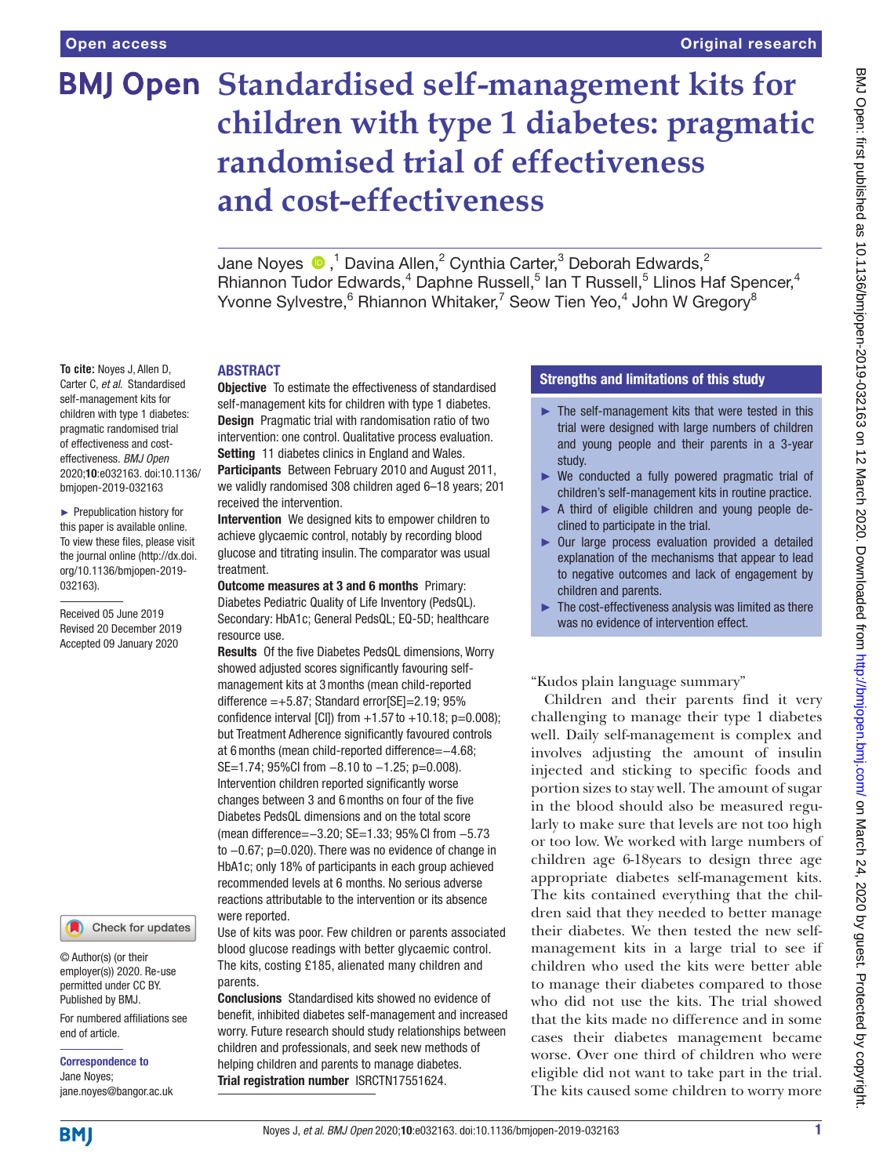# **BMJ Open Standardised self-management kits for children with type 1 diabetes: pragmatic randomised trial of effectiveness and cost-effectiveness**

Jane Noyes  $\bigcirc$  ,<sup>1</sup> Davina Allen,<sup>2</sup> Cynthia Carter,<sup>3</sup> Deborah Edwards,<sup>2</sup> Rhiannon Tudor Edwards,<sup>4</sup> Daphne Russell,<sup>5</sup> Ian T Russell,<sup>5</sup> Llinos Haf Spencer,<sup>4</sup> Yvonne Sylvestre, <sup>6</sup> Rhiannon Whitaker, <sup>7</sup> Seow Tien Yeo, 4 John W Gregory<sup>8</sup>

## **ARSTRACT**

**To cite:** Noyes J, Allen D, Carter C, *et al*. Standardised self-management kits for children with type 1 diabetes: pragmatic randomised trial of effectiveness and costeffectiveness. *BMJ Open* 2020;10:e032163. doi:10.1136/ bmjopen-2019-032163

► Prepublication history for this paper is available online. To view these files, please visit the journal online (http://dx.doi. org/10.1136/bmjopen-2019- 032163).

Received 05 June 2019 Revised 20 December 2019 Accepted 09 January 2020

## Check for updates

© Author(s) (or their employer(s)) 2020. Re-use permitted under CC BY. Published by BMJ.

For numbered affiliations see end of article.

Correspondence to Jane Noyes; jane.noyes@bangor.ac.uk

**Objective** To estimate the effectiveness of standardised self-management kits for children with type 1 diabetes. Design Pragmatic trial with randomisation ratio of two intervention: one control. Qualitative process evaluation. Setting 11 diabetes clinics in England and Wales. Participants Between February 2010 and August 2011, we validly randomised 308 children aged 6–18 years; 201 received the intervention.

Intervention We designed kits to empower children to achieve glycaemic control, notably by recording blood glucose and titrating insulin. The comparator was usual treatment.

Outcome measures at 3 and 6 months Primary: Diabetes Pediatric Quality of Life Inventory (PedsQL). Secondary: HbA1c; General PedsQL; EQ-5D; healthcare resource use.

Results Of the five Diabetes PedsQL dimensions, Worry showed adjusted scores significantly favouring selfmanagement kits at 3months (mean child-reported difference  $=+5.87$ ; Standard error $[SE]=2.19$ ; 95% confidence interval [CI]) from  $+1.57$  to  $+10.18$ ; p=0.008); but Treatment Adherence significantly favoured controls at 6months (mean child-reported difference=−4.68; SE=1.74; 95%CI from −8.10 to −1.25; p=0.008). Intervention children reported significantly worse changes between 3 and 6months on four of the five Diabetes PedsQL dimensions and on the total score (mean difference=−3.20; SE=1.33; 95%CI from −5.73 to −0.67; p=0.020). There was no evidence of change in HbA1c; only 18% of participants in each group achieved recommended levels at 6 months. No serious adverse reactions attributable to the intervention or its absence were reported.

Use of kits was poor. Few children or parents associated blood glucose readings with better glycaemic control. The kits, costing £185, alienated many children and parents.

Conclusions Standardised kits showed no evidence of benefit, inhibited diabetes self-management and increased worry. Future research should study relationships between children and professionals, and seek new methods of helping children and parents to manage diabetes. Trial registration number <ISRCTN17551624>.

## Strengths and limitations of this study

- $\blacktriangleright$  The self-management kits that were tested in this trial were designed with large numbers of children and young people and their parents in a 3-year study.
- ► We conducted a fully powered pragmatic trial of children's self-management kits in routine practice.
- ► A third of eligible children and young people declined to participate in the trial.
- ► Our large process evaluation provided a detailed explanation of the mechanisms that appear to lead to negative outcomes and lack of engagement by children and parents.
- ► The cost-effectiveness analysis was limited as there was no evidence of intervention effect.

"Kudos plain language summary"

Children and their parents find it very challenging to manage their type 1 diabetes well. Daily self-management is complex and involves adjusting the amount of insulin injected and sticking to specific foods and portion sizes to stay well. The amount of sugar in the blood should also be measured regularly to make sure that levels are not too high or too low. We worked with large numbers of children age 6-18years to design three age appropriate diabetes self-management kits. The kits contained everything that the children said that they needed to better manage their diabetes. We then tested the new selfmanagement kits in a large trial to see if children who used the kits were better able to manage their diabetes compared to those who did not use the kits. The trial showed that the kits made no difference and in some cases their diabetes management became worse. Over one third of children who were eligible did not want to take part in the trial. The kits caused some children to worry more

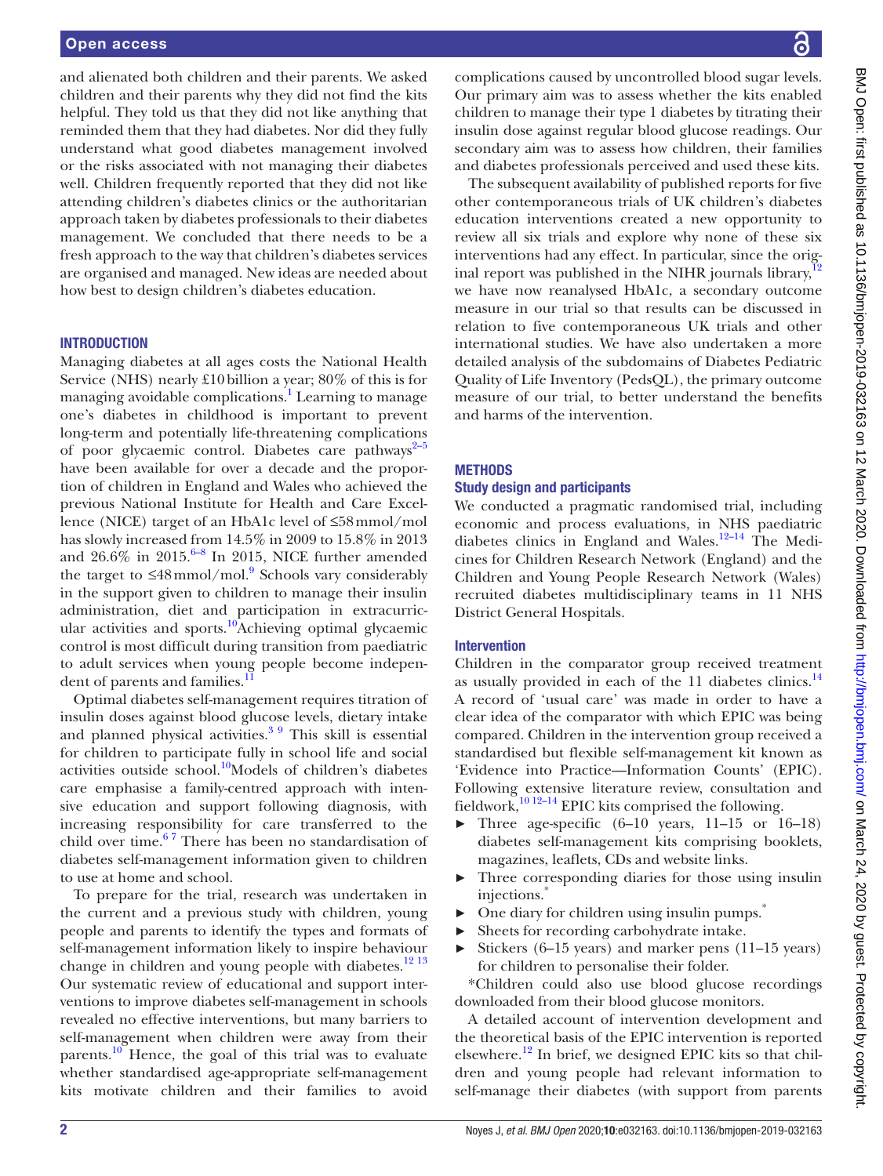#### Open access

and alienated both children and their parents. We asked children and their parents why they did not find the kits helpful. They told us that they did not like anything that reminded them that they had diabetes. Nor did they fully understand what good diabetes management involved or the risks associated with not managing their diabetes well. Children frequently reported that they did not like attending children's diabetes clinics or the authoritarian approach taken by diabetes professionals to their diabetes management. We concluded that there needs to be a fresh approach to the way that children's diabetes services are organised and managed. New ideas are needed about how best to design children's diabetes education.

#### **INTRODUCTION**

Managing diabetes at all ages costs the National Health Service (NHS) nearly £10billion a year; 80% of this is for managing avoidable complications.<sup>[1](#page-12-0)</sup> Learning to manage one's diabetes in childhood is important to prevent long-term and potentially life-threatening complications of poor glycaemic control. Diabetes care pathways $2^{-5}$ have been available for over a decade and the proportion of children in England and Wales who achieved the previous National Institute for Health and Care Excellence (NICE) target of an HbA1c level of ≤58mmol/mol has slowly increased from 14.5% in 2009 to 15.8% in 2013 and  $26.6\%$  in  $2015.^{6-8}$  In 2015, NICE further amended the target to  $\leq 48$  mmol/mol.<sup>9</sup> Schools vary considerably in the support given to children to manage their insulin administration, diet and participation in extracurricular activities and sports.<sup>10</sup>Achieving optimal glycaemic control is most difficult during transition from paediatric to adult services when young people become indepen-dent of parents and families.<sup>[11](#page-12-5)</sup>

Optimal diabetes self-management requires titration of insulin doses against blood glucose levels, dietary intake and planned physical activities.<sup>3 9</sup> This skill is essential for children to participate fully in school life and social activities outside school.<sup>10</sup>Models of children's diabetes care emphasise a family-centred approach with intensive education and support following diagnosis, with increasing responsibility for care transferred to the child over time. $67$  There has been no standardisation of diabetes self-management information given to children to use at home and school.

To prepare for the trial, research was undertaken in the current and a previous study with children, young people and parents to identify the types and formats of self-management information likely to inspire behaviour change in children and young people with diabetes. $12^{13}$ Our systematic review of educational and support interventions to improve diabetes self-management in schools revealed no effective interventions, but many barriers to self-management when children were away from their parents.<sup>[10](#page-12-4)</sup> Hence, the goal of this trial was to evaluate whether standardised age-appropriate self-management kits motivate children and their families to avoid

complications caused by uncontrolled blood sugar levels. Our primary aim was to assess whether the kits enabled children to manage their type 1 diabetes by titrating their insulin dose against regular blood glucose readings. Our secondary aim was to assess how children, their families and diabetes professionals perceived and used these kits.

The subsequent availability of published reports for five other contemporaneous trials of UK children's diabetes education interventions created a new opportunity to review all six trials and explore why none of these six interventions had any effect. In particular, since the orig-<br> $\frac{1}{2}$ inal report was published in the NIHR journals library, $\frac{1}{2}$ we have now reanalysed HbA1c, a secondary outcome measure in our trial so that results can be discussed in relation to five contemporaneous UK trials and other international studies. We have also undertaken a more detailed analysis of the subdomains of Diabetes Pediatric Quality of Life Inventory (PedsQL), the primary outcome measure of our trial, to better understand the benefits and harms of the intervention.

#### **METHODS**

#### Study design and participants

We conducted a pragmatic randomised trial, including economic and process evaluations, in NHS paediatric diabetes clinics in England and Wales.<sup>12-14</sup> The Medicines for Children Research Network (England) and the Children and Young People Research Network (Wales) recruited diabetes multidisciplinary teams in 11 NHS District General Hospitals.

#### Intervention

Children in the comparator group received treatment as usually provided in each of the 11 diabetes clinics.<sup>[14](#page-12-8)</sup> A record of 'usual care' was made in order to have a clear idea of the comparator with which EPIC was being compared. Children in the intervention group received a standardised but flexible self-management kit known as 'Evidence into Practice—Information Counts' (EPIC). Following extensive literature review, consultation and fieldwork, $^{10}$  12–14 EPIC kits comprised the following.

- ► Three age-specific (6–10 years, 11–15 or 16–18) diabetes self-management kits comprising booklets, magazines, leaflets, CDs and website links.
- ► Three corresponding diaries for those using insulin injections.<sup>\*</sup>
- One diary for children using insulin pumps.<sup>\*</sup>
- ► Sheets for recording carbohydrate intake.
- $\blacktriangleright$  Stickers (6–15 years) and marker pens (11–15 years) for children to personalise their folder.

\*Children could also use blood glucose recordings downloaded from their blood glucose monitors.

A detailed account of intervention development and the theoretical basis of the EPIC intervention is reported elsewhere.<sup>12</sup> In brief, we designed EPIC kits so that children and young people had relevant information to self-manage their diabetes (with support from parents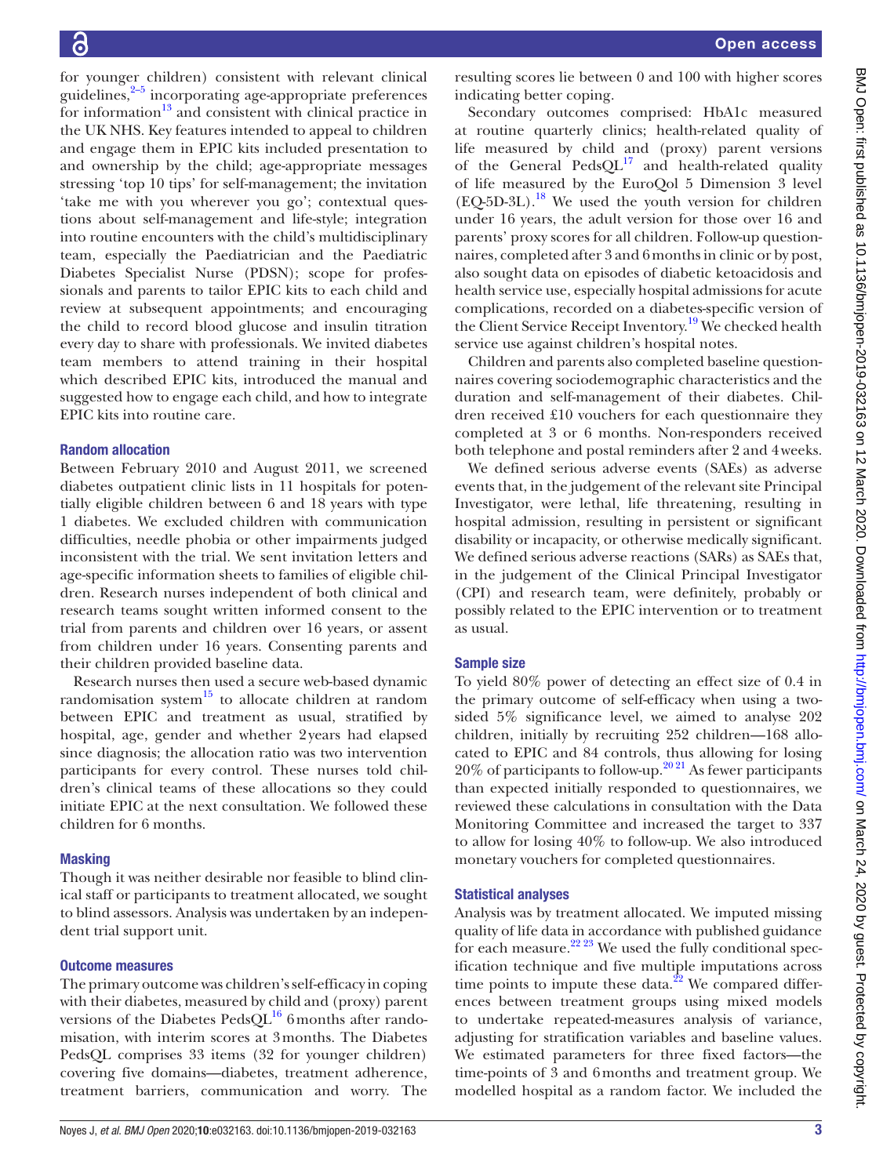for younger children) consistent with relevant clinical guidelines, $2-5$  incorporating age-appropriate preferences for information $^{13}$  and consistent with clinical practice in the UK NHS. Key features intended to appeal to children and engage them in EPIC kits included presentation to and ownership by the child; age-appropriate messages stressing 'top 10 tips' for self-management; the invitation 'take me with you wherever you go'; contextual questions about self-management and life-style; integration into routine encounters with the child's multidisciplinary team, especially the Paediatrician and the Paediatric Diabetes Specialist Nurse (PDSN); scope for professionals and parents to tailor EPIC kits to each child and review at subsequent appointments; and encouraging the child to record blood glucose and insulin titration every day to share with professionals. We invited diabetes team members to attend training in their hospital which described EPIC kits, introduced the manual and suggested how to engage each child, and how to integrate EPIC kits into routine care.

#### Random allocation

Between February 2010 and August 2011, we screened diabetes outpatient clinic lists in 11 hospitals for potentially eligible children between 6 and 18 years with type 1 diabetes. We excluded children with communication difficulties, needle phobia or other impairments judged inconsistent with the trial. We sent invitation letters and age-specific information sheets to families of eligible children. Research nurses independent of both clinical and research teams sought written informed consent to the trial from parents and children over 16 years, or assent from children under 16 years. Consenting parents and their children provided baseline data.

Research nurses then used a secure web-based dynamic randomisation system $15$  to allocate children at random between EPIC and treatment as usual, stratified by hospital, age, gender and whether 2years had elapsed since diagnosis; the allocation ratio was two intervention participants for every control. These nurses told children's clinical teams of these allocations so they could initiate EPIC at the next consultation. We followed these children for 6 months.

## **Masking**

Though it was neither desirable nor feasible to blind clinical staff or participants to treatment allocated, we sought to blind assessors. Analysis was undertaken by an independent trial support unit.

#### Outcome measures

The primary outcome was children's self-efficacy in coping with their diabetes, measured by child and (proxy) parent versions of the Diabetes Peds $QL^{16}$  6 months after randomisation, with interim scores at 3months. The Diabetes PedsQL comprises 33 items (32 for younger children) covering five domains—diabetes, treatment adherence, treatment barriers, communication and worry. The

resulting scores lie between 0 and 100 with higher scores indicating better coping.

Secondary outcomes comprised: HbA1c measured at routine quarterly clinics; health-related quality of life measured by child and (proxy) parent versions of the General  $PedsQL^{17}$  and health-related quality of life measured by the EuroQol 5 Dimension 3 level  $(EQ-5D-3L).$ <sup>18</sup> We used the youth version for children under 16 years, the adult version for those over 16 and parents' proxy scores for all children. Follow-up questionnaires, completed after 3 and 6months in clinic or by post, also sought data on episodes of diabetic ketoacidosis and health service use, especially hospital admissions for acute complications, recorded on a diabetes-specific version of the Client Service Receipt Inventory.<sup>19</sup> We checked health service use against children's hospital notes.

Children and parents also completed baseline questionnaires covering sociodemographic characteristics and the duration and self-management of their diabetes. Children received £10 vouchers for each questionnaire they completed at 3 or 6 months. Non-responders received both telephone and postal reminders after 2 and 4weeks.

We defined serious adverse events (SAEs) as adverse events that, in the judgement of the relevant site Principal Investigator, were lethal, life threatening, resulting in hospital admission, resulting in persistent or significant disability or incapacity, or otherwise medically significant. We defined serious adverse reactions (SARs) as SAEs that, in the judgement of the Clinical Principal Investigator (CPI) and research team, were definitely, probably or possibly related to the EPIC intervention or to treatment as usual.

## Sample size

To yield 80% power of detecting an effect size of 0.4 in the primary outcome of self-efficacy when using a twosided 5% significance level, we aimed to analyse 202 children, initially by recruiting 252 children—168 allocated to EPIC and 84 controls, thus allowing for losing  $20\%$  of participants to follow-up.<sup>2021</sup> As fewer participants than expected initially responded to questionnaires, we reviewed these calculations in consultation with the Data Monitoring Committee and increased the target to 337 to allow for losing 40% to follow-up. We also introduced monetary vouchers for completed questionnaires.

#### Statistical analyses

Analysis was by treatment allocated. We imputed missing quality of life data in accordance with published guidance for each measure.<sup>[22 23](#page-12-16)</sup> We used the fully conditional specification technique and five multiple imputations across time points to impute these data. $^{22}$  We compared differences between treatment groups using mixed models to undertake repeated-measures analysis of variance, adjusting for stratification variables and baseline values. We estimated parameters for three fixed factors—the time-points of 3 and 6months and treatment group. We modelled hospital as a random factor. We included the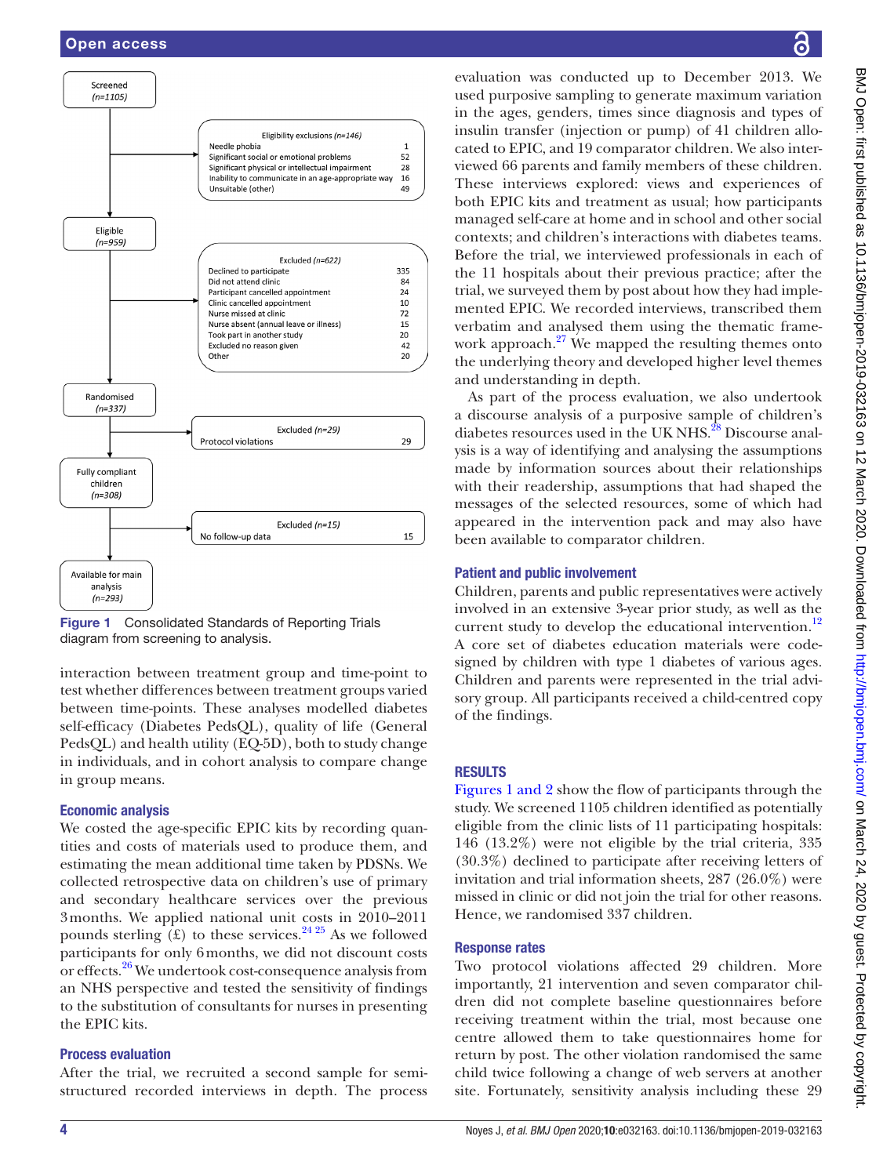

<span id="page-3-0"></span>

interaction between treatment group and time-point to test whether differences between treatment groups varied between time-points. These analyses modelled diabetes self-efficacy (Diabetes PedsQL), quality of life (General PedsQL) and health utility (EQ-5D), both to study change in individuals, and in cohort analysis to compare change in group means.

# Economic analysis

We costed the age-specific EPIC kits by recording quantities and costs of materials used to produce them, and estimating the mean additional time taken by PDSNs. We collected retrospective data on children's use of primary and secondary healthcare services over the previous 3months. We applied national unit costs in 2010–2011 pounds sterling  $(\text{\pounds})$  to these services.<sup>24 25</sup> As we followed participants for only 6months, we did not discount costs or effects.<sup>[26](#page-12-18)</sup> We undertook cost-consequence analysis from an NHS perspective and tested the sensitivity of findings to the substitution of consultants for nurses in presenting the EPIC kits.

## Process evaluation

After the trial, we recruited a second sample for semistructured recorded interviews in depth. The process

evaluation was conducted up to December 2013. We used purposive sampling to generate maximum variation in the ages, genders, times since diagnosis and types of insulin transfer (injection or pump) of 41 children allocated to EPIC, and 19 comparator children. We also interviewed 66 parents and family members of these children. These interviews explored: views and experiences of both EPIC kits and treatment as usual; how participants managed self-care at home and in school and other social contexts; and children's interactions with diabetes teams. Before the trial, we interviewed professionals in each of the 11 hospitals about their previous practice; after the trial, we surveyed them by post about how they had implemented EPIC. We recorded interviews, transcribed them verbatim and analysed them using the thematic framework approach. $27$  We mapped the resulting themes onto the underlying theory and developed higher level themes and understanding in depth.

As part of the process evaluation, we also undertook a discourse analysis of a purposive sample of children's diabetes resources used in the UK NHS.<sup>28</sup> Discourse analysis is a way of identifying and analysing the assumptions made by information sources about their relationships with their readership, assumptions that had shaped the messages of the selected resources, some of which had appeared in the intervention pack and may also have been available to comparator children.

# Patient and public involvement

Children, parents and public representatives were actively involved in an extensive 3-year prior study, as well as the current study to develop the educational intervention.<sup>[12](#page-12-7)</sup> A core set of diabetes education materials were codesigned by children with type 1 diabetes of various ages. Children and parents were represented in the trial advisory group. All participants received a child-centred copy of the findings.

# **RESULTS**

Figures [1 and 2](#page-3-0) show the flow of participants through the study. We screened 1105 children identified as potentially eligible from the clinic lists of 11 participating hospitals: 146 (13.2%) were not eligible by the trial criteria, 335 (30.3%) declined to participate after receiving letters of invitation and trial information sheets, 287 (26.0%) were missed in clinic or did not join the trial for other reasons. Hence, we randomised 337 children.

# Response rates

Two protocol violations affected 29 children. More importantly, 21 intervention and seven comparator children did not complete baseline questionnaires before receiving treatment within the trial, most because one centre allowed them to take questionnaires home for return by post. The other violation randomised the same child twice following a change of web servers at another site. Fortunately, sensitivity analysis including these 29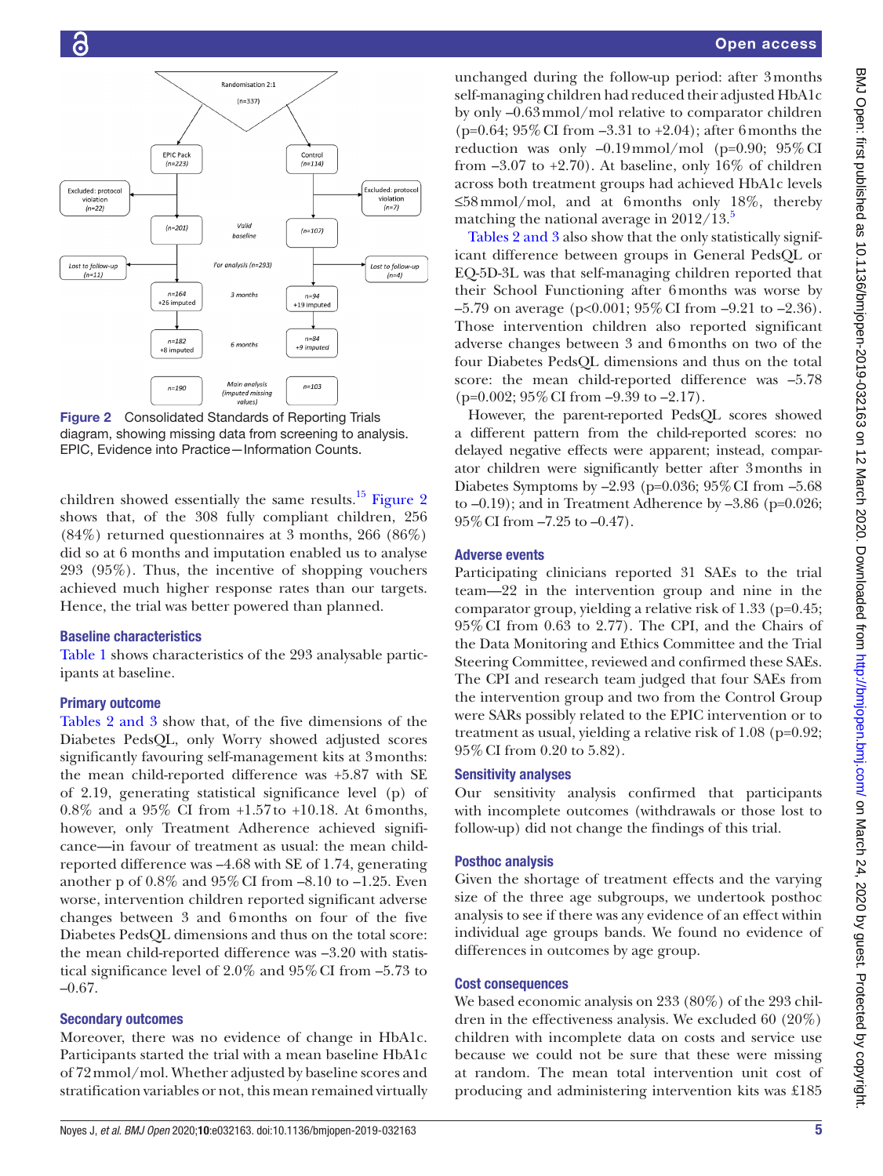

<span id="page-4-0"></span>Figure 2 Consolidated Standards of Reporting Trials diagram, showing missing data from screening to analysis. EPIC, Evidence into Practice—Information Counts.

children showed essentially the same results.<sup>[15](#page-12-10)</sup> [Figure](#page-4-0) 2 shows that, of the 308 fully compliant children, 256 (84%) returned questionnaires at 3 months, 266 (86%) did so at 6 months and imputation enabled us to analyse 293 (95%). Thus, the incentive of shopping vouchers achieved much higher response rates than our targets. Hence, the trial was better powered than planned.

## Baseline characteristics

[Table](#page-5-0) 1 shows characteristics of the 293 analysable participants at baseline.

# Primary outcome

Tables [2 and 3](#page-6-0) show that, of the five dimensions of the Diabetes PedsQL, only Worry showed adjusted scores significantly favouring self-management kits at 3months: the mean child-reported difference was +5.87 with SE of 2.19, generating statistical significance level (p) of 0.8% and a 95% CI from +1.57to +10.18. At 6months, however, only Treatment Adherence achieved significance—in favour of treatment as usual: the mean childreported difference was –4.68 with SE of 1.74, generating another p of 0.8% and 95%CI from –8.10 to –1.25. Even worse, intervention children reported significant adverse changes between 3 and 6months on four of the five Diabetes PedsQL dimensions and thus on the total score: the mean child-reported difference was –3.20 with statistical significance level of 2.0% and 95%CI from –5.73 to –0.67.

# Secondary outcomes

Moreover, there was no evidence of change in HbA1c. Participants started the trial with a mean baseline HbA1c of 72mmol/mol. Whether adjusted by baseline scores and stratification variables or not, this mean remained virtually

unchanged during the follow-up period: after 3months self-managing children had reduced their adjusted HbA1c by only –0.63mmol/mol relative to comparator children (p=0.64;  $95\%$  CI from  $-3.31$  to  $+2.04$ ); after 6 months the reduction was only  $-0.19$  mmol/mol (p=0.90;  $95\%$  CI from  $-3.07$  to  $+2.70$ ). At baseline, only 16% of children across both treatment groups had achieved HbA1c levels ≤58mmol/mol, and at 6months only 18%, thereby matching the national average in  $2012/13$ .

Tables [2 and 3](#page-6-0) also show that the only statistically significant difference between groups in General PedsQL or EQ-5D-3L was that self-managing children reported that their School Functioning after 6months was worse by  $-5.79$  on average (p<0.001; 95% CI from  $-9.21$  to  $-2.36$ ). Those intervention children also reported significant adverse changes between 3 and 6months on two of the four Diabetes PedsQL dimensions and thus on the total score: the mean child-reported difference was –5.78  $(p=0.002; 95\% \text{ CI from } -9.39 \text{ to } -2.17).$ 

However, the parent-reported PedsQL scores showed a different pattern from the child-reported scores: no delayed negative effects were apparent; instead, comparator children were significantly better after 3months in Diabetes Symptoms by –2.93 (p=0.036; 95%CI from –5.68 to  $-0.19$ ; and in Treatment Adherence by  $-3.86$  (p=0.026; 95%CI from –7.25 to –0.47).

## Adverse events

Participating clinicians reported 31 SAEs to the trial team—22 in the intervention group and nine in the comparator group, yielding a relative risk of 1.33 (p=0.45; 95%CI from 0.63 to 2.77). The CPI, and the Chairs of the Data Monitoring and Ethics Committee and the Trial Steering Committee, reviewed and confirmed these SAEs. The CPI and research team judged that four SAEs from the intervention group and two from the Control Group were SARs possibly related to the EPIC intervention or to treatment as usual, yielding a relative risk of 1.08 (p=0.92; 95%CI from 0.20 to 5.82).

## Sensitivity analyses

Our sensitivity analysis confirmed that participants with incomplete outcomes (withdrawals or those lost to follow-up) did not change the findings of this trial.

# Posthoc analysis

Given the shortage of treatment effects and the varying size of the three age subgroups, we undertook posthoc analysis to see if there was any evidence of an effect within individual age groups bands. We found no evidence of differences in outcomes by age group.

# Cost consequences

We based economic analysis on 233 (80%) of the 293 children in the effectiveness analysis. We excluded 60 (20%) children with incomplete data on costs and service use because we could not be sure that these were missing at random. The mean total intervention unit cost of producing and administering intervention kits was £185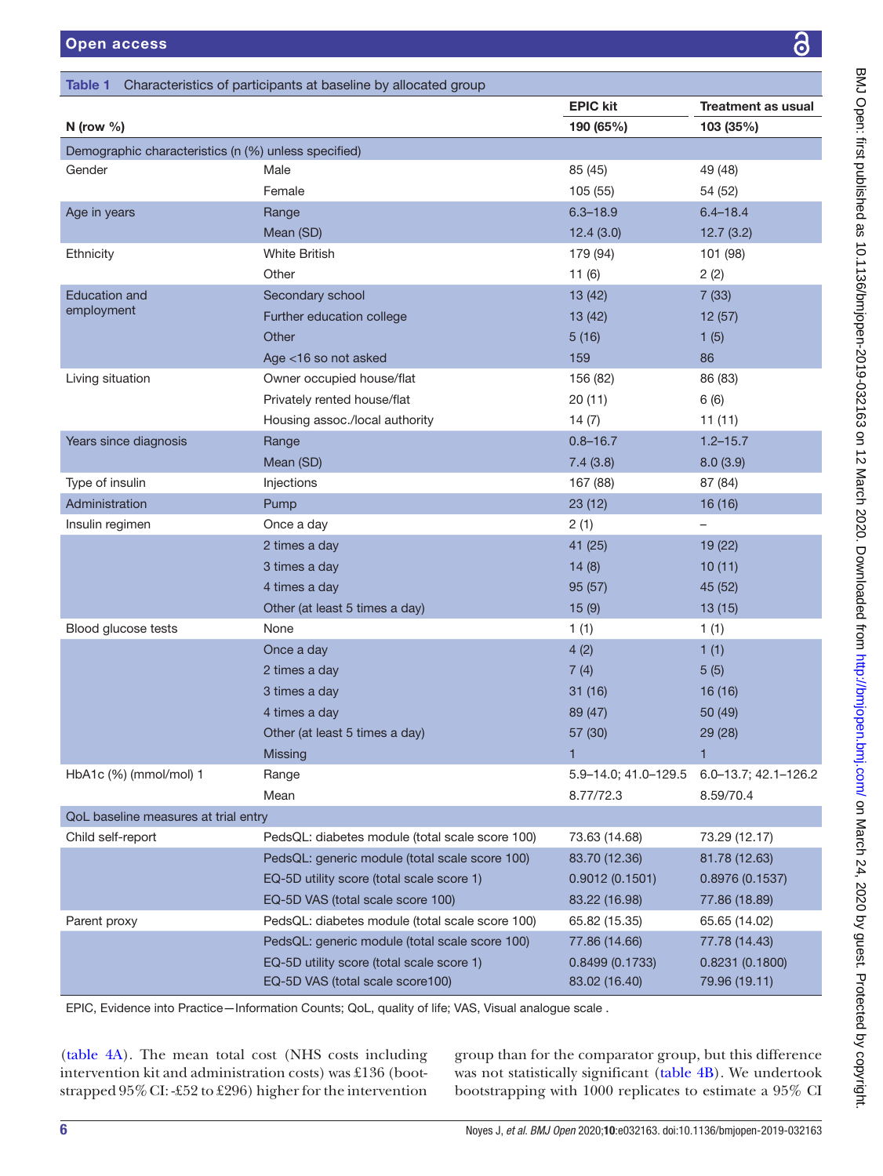<span id="page-5-0"></span>

| Table 1                                              | Characteristics of participants at baseline by allocated group |                      |                           |
|------------------------------------------------------|----------------------------------------------------------------|----------------------|---------------------------|
|                                                      |                                                                | <b>EPIC kit</b>      | <b>Treatment as usual</b> |
| N (row $%$ )                                         |                                                                | 190 (65%)            | 103 (35%)                 |
| Demographic characteristics (n (%) unless specified) |                                                                |                      |                           |
| Gender                                               | Male                                                           | 85 (45)              | 49 (48)                   |
|                                                      | Female                                                         | 105 (55)             | 54 (52)                   |
| Age in years                                         | Range                                                          | $6.3 - 18.9$         | $6.4 - 18.4$              |
|                                                      | Mean (SD)                                                      | 12.4(3.0)            | 12.7(3.2)                 |
| Ethnicity                                            | <b>White British</b>                                           | 179 (94)             | 101 (98)                  |
|                                                      | Other                                                          | 11(6)                | 2(2)                      |
| <b>Education and</b>                                 | Secondary school                                               | 13(42)               | 7(33)                     |
| employment                                           | Further education college                                      | 13(42)               | 12(57)                    |
|                                                      | Other                                                          | 5(16)                | 1(5)                      |
|                                                      | Age <16 so not asked                                           | 159                  | 86                        |
| Living situation                                     | Owner occupied house/flat                                      | 156 (82)             | 86 (83)                   |
|                                                      | Privately rented house/flat                                    | 20(11)               | 6(6)                      |
|                                                      | Housing assoc./local authority                                 | 14(7)                | 11(11)                    |
| Years since diagnosis                                | Range                                                          | $0.8 - 16.7$         | $1.2 - 15.7$              |
|                                                      | Mean (SD)                                                      | 7.4(3.8)             | 8.0(3.9)                  |
| Type of insulin                                      | Injections                                                     | 167 (88)             | 87 (84)                   |
| Administration                                       | Pump                                                           | 23(12)               | 16 (16)                   |
| Insulin regimen                                      | Once a day                                                     | 2(1)                 | $\overline{\phantom{0}}$  |
|                                                      | 2 times a day                                                  | 41 (25)              | 19 (22)                   |
|                                                      | 3 times a day                                                  | 14(8)                | 10(11)                    |
|                                                      | 4 times a day                                                  | 95(57)               | 45 (52)                   |
|                                                      | Other (at least 5 times a day)                                 | 15(9)                | 13(15)                    |
| Blood glucose tests                                  | None                                                           | 1(1)                 | 1(1)                      |
|                                                      | Once a day                                                     | 4(2)                 | 1(1)                      |
|                                                      | 2 times a day                                                  | 7(4)                 | 5(5)                      |
|                                                      | 3 times a day                                                  | 31(16)               | 16 (16)                   |
|                                                      | 4 times a day                                                  | 89 (47)              | 50 (49)                   |
|                                                      | Other (at least 5 times a day)                                 | 57 (30)              | 29 (28)                   |
|                                                      | <b>Missing</b>                                                 | 1                    | 1                         |
| HbA1c (%) (mmol/mol) 1                               | Range                                                          | 5.9-14.0; 41.0-129.5 | 6.0-13.7; 42.1-126.2      |
|                                                      | Mean                                                           | 8.77/72.3            | 8.59/70.4                 |
| QoL baseline measures at trial entry                 |                                                                |                      |                           |
| Child self-report                                    | PedsQL: diabetes module (total scale score 100)                | 73.63 (14.68)        | 73.29 (12.17)             |
|                                                      | PedsQL: generic module (total scale score 100)                 | 83.70 (12.36)        | 81.78 (12.63)             |
|                                                      | EQ-5D utility score (total scale score 1)                      | 0.9012(0.1501)       | 0.8976(0.1537)            |
|                                                      | EQ-5D VAS (total scale score 100)                              | 83.22 (16.98)        | 77.86 (18.89)             |
| Parent proxy                                         | PedsQL: diabetes module (total scale score 100)                | 65.82 (15.35)        | 65.65 (14.02)             |
|                                                      | PedsQL: generic module (total scale score 100)                 | 77.86 (14.66)        | 77.78 (14.43)             |
|                                                      | EQ-5D utility score (total scale score 1)                      | 0.8499(0.1733)       | 0.8231(0.1800)            |
|                                                      | EQ-5D VAS (total scale score100)                               | 83.02 (16.40)        | 79.96 (19.11)             |

EPIC, Evidence into Practice—Information Counts; QoL, quality of life; VAS, Visual analogue scale .

([table](#page-9-0) 4A). The mean total cost (NHS costs including intervention kit and administration costs) was £136 (bootstrapped 95%CI: -£52 to £296) higher for the intervention

group than for the comparator group, but this difference was not statistically significant [\(table](#page-10-0) 4B). We undertook bootstrapping with 1000 replicates to estimate a 95% CI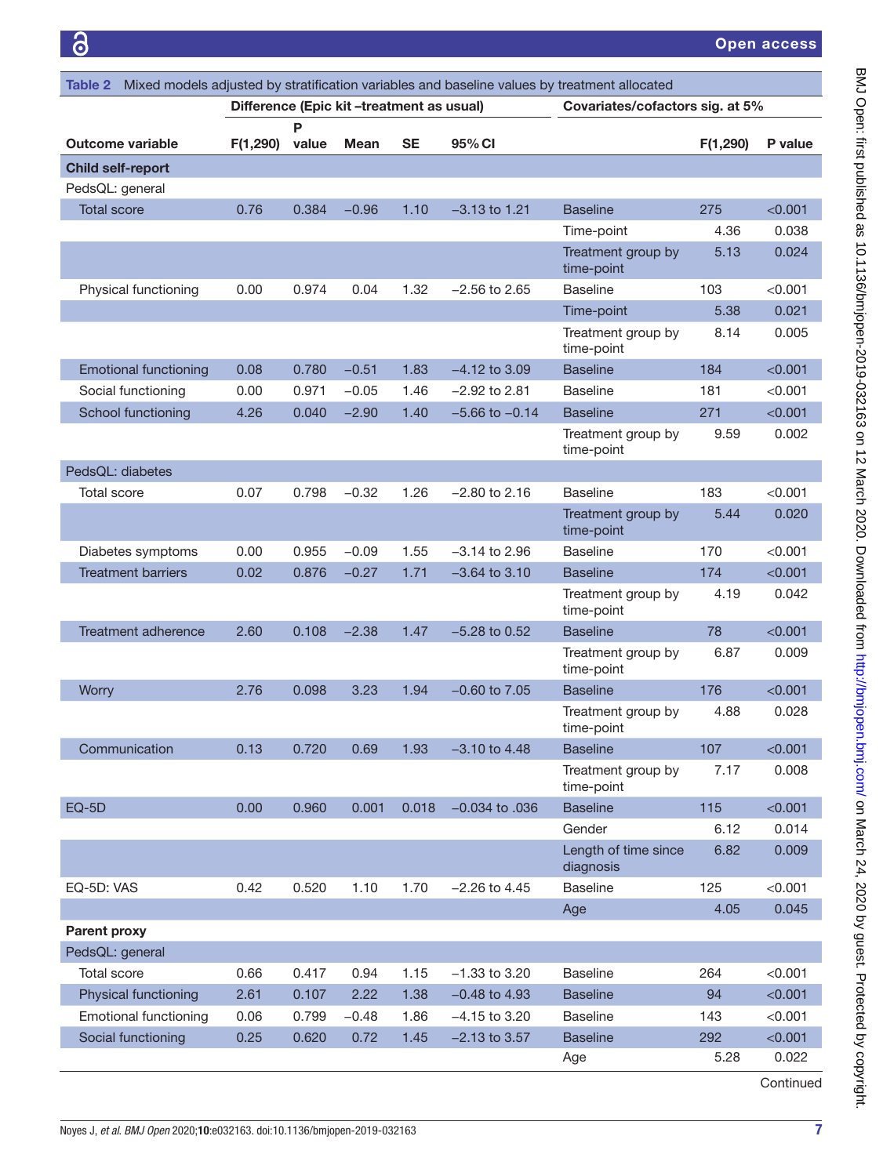6

Open access

<span id="page-6-0"></span>

| Mixed models adjusted by stratification variables and baseline values by treatment allocated<br>Table 2 |                                           |            |             |           |                    |                                   |          |         |  |
|---------------------------------------------------------------------------------------------------------|-------------------------------------------|------------|-------------|-----------|--------------------|-----------------------------------|----------|---------|--|
|                                                                                                         | Difference (Epic kit -treatment as usual) |            |             |           |                    | Covariates/cofactors sig. at 5%   |          |         |  |
| <b>Outcome variable</b>                                                                                 | F(1,290)                                  | P<br>value | <b>Mean</b> | <b>SE</b> | 95% CI             |                                   | F(1,290) | P value |  |
| <b>Child self-report</b>                                                                                |                                           |            |             |           |                    |                                   |          |         |  |
| PedsQL: general                                                                                         |                                           |            |             |           |                    |                                   |          |         |  |
| <b>Total score</b>                                                                                      | 0.76                                      | 0.384      | $-0.96$     | 1.10      | $-3.13$ to 1.21    | <b>Baseline</b>                   | 275      | < 0.001 |  |
|                                                                                                         |                                           |            |             |           |                    | Time-point                        | 4.36     | 0.038   |  |
|                                                                                                         |                                           |            |             |           |                    | Treatment group by<br>time-point  | 5.13     | 0.024   |  |
| Physical functioning                                                                                    | 0.00                                      | 0.974      | 0.04        | 1.32      | $-2.56$ to 2.65    | <b>Baseline</b>                   | 103      | < 0.001 |  |
|                                                                                                         |                                           |            |             |           |                    | Time-point                        | 5.38     | 0.021   |  |
|                                                                                                         |                                           |            |             |           |                    | Treatment group by<br>time-point  | 8.14     | 0.005   |  |
| <b>Emotional functioning</b>                                                                            | 0.08                                      | 0.780      | $-0.51$     | 1.83      | $-4.12$ to 3.09    | <b>Baseline</b>                   | 184      | < 0.001 |  |
| Social functioning                                                                                      | 0.00                                      | 0.971      | $-0.05$     | 1.46      | $-2.92$ to 2.81    | <b>Baseline</b>                   | 181      | < 0.001 |  |
| School functioning                                                                                      | 4.26                                      | 0.040      | $-2.90$     | 1.40      | $-5.66$ to $-0.14$ | <b>Baseline</b>                   | 271      | < 0.001 |  |
|                                                                                                         |                                           |            |             |           |                    | Treatment group by<br>time-point  | 9.59     | 0.002   |  |
| PedsQL: diabetes                                                                                        |                                           |            |             |           |                    |                                   |          |         |  |
| <b>Total score</b>                                                                                      | 0.07                                      | 0.798      | $-0.32$     | 1.26      | $-2.80$ to 2.16    | <b>Baseline</b>                   | 183      | < 0.001 |  |
|                                                                                                         |                                           |            |             |           |                    | Treatment group by<br>time-point  | 5.44     | 0.020   |  |
| Diabetes symptoms                                                                                       | 0.00                                      | 0.955      | $-0.09$     | 1.55      | –3.14 to 2.96      | <b>Baseline</b>                   | 170      | < 0.001 |  |
| <b>Treatment barriers</b>                                                                               | 0.02                                      | 0.876      | $-0.27$     | 1.71      | $-3.64$ to $3.10$  | <b>Baseline</b>                   | 174      | < 0.001 |  |
|                                                                                                         |                                           |            |             |           |                    | Treatment group by<br>time-point  | 4.19     | 0.042   |  |
| <b>Treatment adherence</b>                                                                              | 2.60                                      | 0.108      | $-2.38$     | 1.47      | $-5.28$ to 0.52    | <b>Baseline</b>                   | 78       | < 0.001 |  |
|                                                                                                         |                                           |            |             |           |                    | Treatment group by<br>time-point  | 6.87     | 0.009   |  |
| Worry                                                                                                   | 2.76                                      | 0.098      | 3.23        | 1.94      | $-0.60$ to $7.05$  | <b>Baseline</b>                   | 176      | < 0.001 |  |
|                                                                                                         |                                           |            |             |           |                    | Treatment group by<br>time-point  | 4.88     | 0.028   |  |
| Communication                                                                                           | 0.13                                      | 0.720      | 0.69        | 1.93      | $-3.10$ to $4.48$  | <b>Baseline</b>                   | 107      | < 0.001 |  |
|                                                                                                         |                                           |            |             |           |                    | Treatment group by<br>time-point  | 7.17     | 0.008   |  |
| $EQ-5D$                                                                                                 | 0.00                                      | 0.960      | 0.001       | 0.018     | $-0.034$ to $.036$ | <b>Baseline</b>                   | 115      | < 0.001 |  |
|                                                                                                         |                                           |            |             |           |                    | Gender                            | 6.12     | 0.014   |  |
|                                                                                                         |                                           |            |             |           |                    | Length of time since<br>diagnosis | 6.82     | 0.009   |  |
| EQ-5D: VAS                                                                                              | 0.42                                      | 0.520      | 1.10        | 1.70      | $-2.26$ to 4.45    | <b>Baseline</b>                   | 125      | < 0.001 |  |
|                                                                                                         |                                           |            |             |           |                    | Age                               | 4.05     | 0.045   |  |
| <b>Parent proxy</b>                                                                                     |                                           |            |             |           |                    |                                   |          |         |  |
| PedsQL: general                                                                                         |                                           |            |             |           |                    |                                   |          |         |  |
| Total score                                                                                             | 0.66                                      | 0.417      | 0.94        | 1.15      | $-1.33$ to 3.20    | <b>Baseline</b>                   | 264      | < 0.001 |  |
| Physical functioning                                                                                    | 2.61                                      | 0.107      | 2.22        | 1.38      | $-0.48$ to 4.93    | <b>Baseline</b>                   | 94       | < 0.001 |  |
| <b>Emotional functioning</b>                                                                            | 0.06                                      | 0.799      | $-0.48$     | 1.86      | $-4.15$ to 3.20    | <b>Baseline</b>                   | 143      | < 0.001 |  |
| Social functioning                                                                                      | 0.25                                      | 0.620      | 0.72        | 1.45      | $-2.13$ to 3.57    | <b>Baseline</b>                   | 292      | < 0.001 |  |
|                                                                                                         |                                           |            |             |           |                    | Age                               | 5.28     | 0.022   |  |

Continued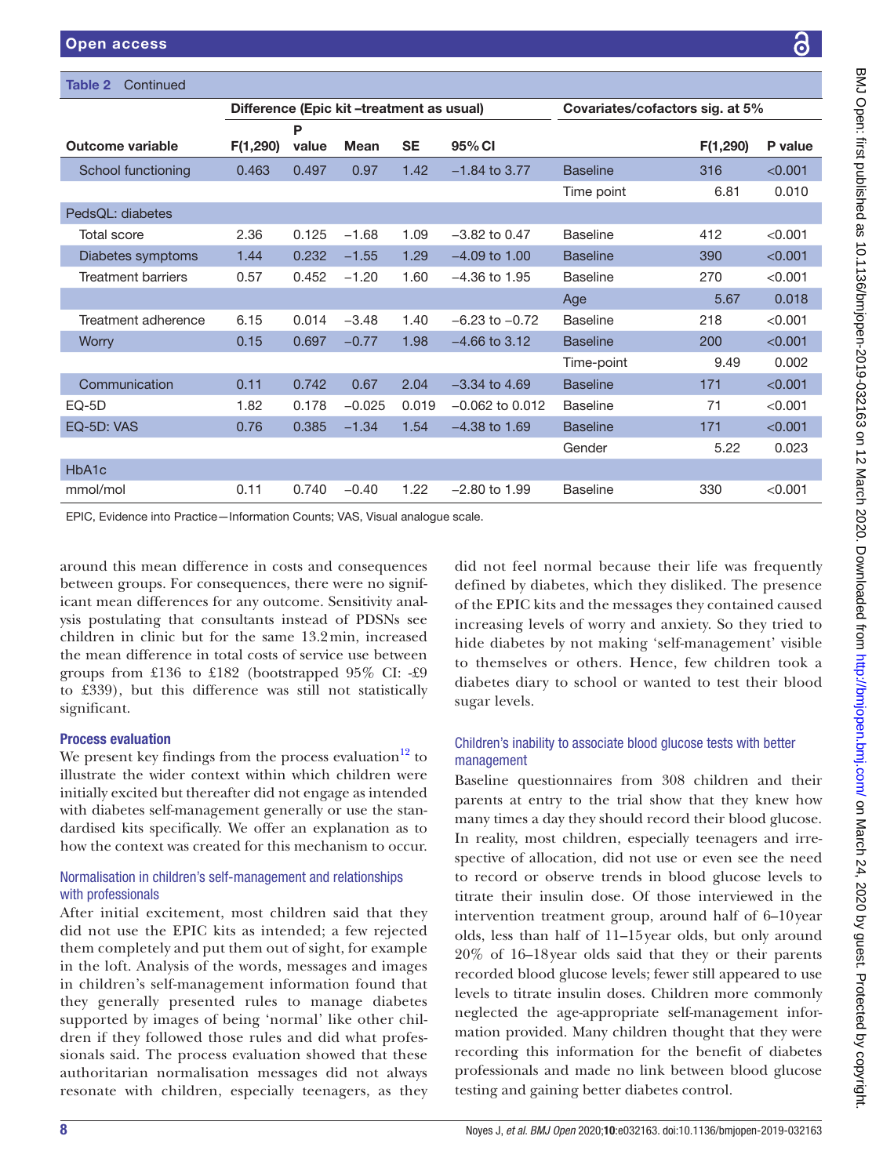| Table 2<br>Continued                                                                               |          |       |                                           |           |                                 |                 |          |         |
|----------------------------------------------------------------------------------------------------|----------|-------|-------------------------------------------|-----------|---------------------------------|-----------------|----------|---------|
|                                                                                                    |          |       | Difference (Epic kit -treatment as usual) |           | Covariates/cofactors sig. at 5% |                 |          |         |
|                                                                                                    |          | P     |                                           |           |                                 |                 |          |         |
| <b>Outcome variable</b>                                                                            | F(1,290) | value | <b>Mean</b>                               | <b>SE</b> | 95% CI                          |                 | F(1,290) | P value |
| School functioning                                                                                 | 0.463    | 0.497 | 0.97                                      | 1.42      | $-1.84$ to 3.77                 | <b>Baseline</b> | 316      | < 0.001 |
|                                                                                                    |          |       |                                           |           |                                 | Time point      | 6.81     | 0.010   |
| PedsQL: diabetes                                                                                   |          |       |                                           |           |                                 |                 |          |         |
| <b>Total score</b>                                                                                 | 2.36     | 0.125 | $-1.68$                                   | 1.09      | $-3.82$ to 0.47                 | <b>Baseline</b> | 412      | < 0.001 |
| Diabetes symptoms                                                                                  | 1.44     | 0.232 | $-1.55$                                   | 1.29      | $-4.09$ to 1.00                 | <b>Baseline</b> | 390      | < 0.001 |
| <b>Treatment barriers</b>                                                                          | 0.57     | 0.452 | $-1.20$                                   | 1.60      | $-4.36$ to 1.95                 | <b>Baseline</b> | 270      | < 0.001 |
|                                                                                                    |          |       |                                           |           |                                 | Age             | 5.67     | 0.018   |
| Treatment adherence                                                                                | 6.15     | 0.014 | $-3.48$                                   | 1.40      | $-6.23$ to $-0.72$              | <b>Baseline</b> | 218      | < 0.001 |
| <b>Worry</b>                                                                                       | 0.15     | 0.697 | $-0.77$                                   | 1.98      | $-4.66$ to 3.12                 | <b>Baseline</b> | 200      | < 0.001 |
|                                                                                                    |          |       |                                           |           |                                 | Time-point      | 9.49     | 0.002   |
| Communication                                                                                      | 0.11     | 0.742 | 0.67                                      | 2.04      | $-3.34$ to 4.69                 | <b>Baseline</b> | 171      | < 0.001 |
| $EQ-5D$                                                                                            | 1.82     | 0.178 | $-0.025$                                  | 0.019     | $-0.062$ to 0.012               | <b>Baseline</b> | 71       | < 0.001 |
| EQ-5D: VAS                                                                                         | 0.76     | 0.385 | $-1.34$                                   | 1.54      | $-4.38$ to 1.69                 | <b>Baseline</b> | 171      | < 0.001 |
|                                                                                                    |          |       |                                           |           |                                 | Gender          | 5.22     | 0.023   |
| HbA1c                                                                                              |          |       |                                           |           |                                 |                 |          |         |
| mmol/mol                                                                                           | 0.11     | 0.740 | $-0.40$                                   | 1.22      | $-2.80$ to 1.99                 | <b>Baseline</b> | 330      | < 0.001 |
| $FPIO$ , $F/I$ , and the $D$ , and a state of the $O$ , and $MLO$ , $M$ , and a state of the state |          |       |                                           |           |                                 |                 |          |         |

EPIC, Evidence into Practice—Information Counts; VAS, Visual analogue scale.

around this mean difference in costs and consequences between groups. For consequences, there were no significant mean differences for any outcome. Sensitivity analysis postulating that consultants instead of PDSNs see children in clinic but for the same 13.2min, increased the mean difference in total costs of service use between groups from £136 to £182 (bootstrapped 95% CI: -£9 to £339), but this difference was still not statistically significant.

# Process evaluation

We present key findings from the process evaluation $12$  to illustrate the wider context within which children were initially excited but thereafter did not engage as intended with diabetes self-management generally or use the standardised kits specifically. We offer an explanation as to how the context was created for this mechanism to occur.

# Normalisation in children's self-management and relationships with professionals

After initial excitement, most children said that they did not use the EPIC kits as intended; a few rejected them completely and put them out of sight, for example in the loft. Analysis of the words, messages and images in children's self-management information found that they generally presented rules to manage diabetes supported by images of being 'normal' like other children if they followed those rules and did what professionals said. The process evaluation showed that these authoritarian normalisation messages did not always resonate with children, especially teenagers, as they

did not feel normal because their life was frequently defined by diabetes, which they disliked. The presence of the EPIC kits and the messages they contained caused increasing levels of worry and anxiety. So they tried to hide diabetes by not making 'self-management' visible to themselves or others. Hence, few children took a diabetes diary to school or wanted to test their blood sugar levels.

# Children's inability to associate blood glucose tests with better management

Baseline questionnaires from 308 children and their parents at entry to the trial show that they knew how many times a day they should record their blood glucose. In reality, most children, especially teenagers and irrespective of allocation, did not use or even see the need to record or observe trends in blood glucose levels to titrate their insulin dose. Of those interviewed in the intervention treatment group, around half of 6–10year olds, less than half of 11–15year olds, but only around 20% of 16–18year olds said that they or their parents recorded blood glucose levels; fewer still appeared to use levels to titrate insulin doses. Children more commonly neglected the age-appropriate self-management information provided. Many children thought that they were recording this information for the benefit of diabetes professionals and made no link between blood glucose testing and gaining better diabetes control.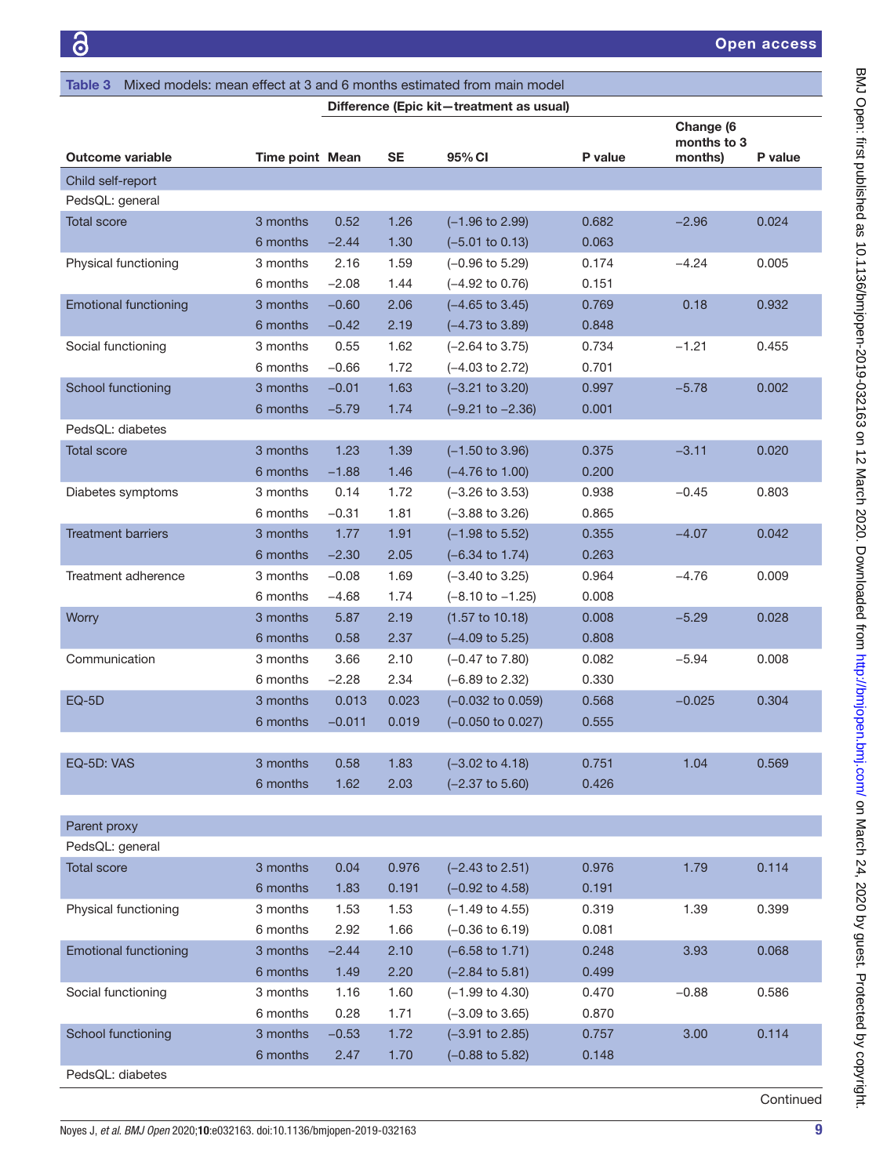| Mixed models: mean effect at 3 and 6 months estimated from main model<br>Table 3 |                        |              |              |                                                          |                |                                     |         |  |
|----------------------------------------------------------------------------------|------------------------|--------------|--------------|----------------------------------------------------------|----------------|-------------------------------------|---------|--|
| Difference (Epic kit-treatment as usual)                                         |                        |              |              |                                                          |                |                                     |         |  |
| Outcome variable                                                                 | <b>Time point Mean</b> |              | <b>SE</b>    | 95% CI                                                   | P value        | Change (6<br>months to 3<br>months) | P value |  |
| Child self-report                                                                |                        |              |              |                                                          |                |                                     |         |  |
| PedsQL: general                                                                  |                        |              |              |                                                          |                |                                     |         |  |
| <b>Total score</b>                                                               | 3 months               | 0.52         | 1.26         | $(-1.96 \text{ to } 2.99)$                               | 0.682          | $-2.96$                             | 0.024   |  |
|                                                                                  | 6 months               | $-2.44$      | 1.30         | $(-5.01 \text{ to } 0.13)$                               | 0.063          |                                     |         |  |
| Physical functioning                                                             | 3 months               | 2.16         | 1.59         | $(-0.96 \text{ to } 5.29)$                               | 0.174          | $-4.24$                             | 0.005   |  |
|                                                                                  | 6 months               | $-2.08$      | 1.44         | $(-4.92 \text{ to } 0.76)$                               | 0.151          |                                     |         |  |
| <b>Emotional functioning</b>                                                     | 3 months               | $-0.60$      | 2.06         | $(-4.65 \text{ to } 3.45)$                               | 0.769          | 0.18                                | 0.932   |  |
|                                                                                  | 6 months               | $-0.42$      | 2.19         | $(-4.73 \text{ to } 3.89)$                               | 0.848          |                                     |         |  |
| Social functioning                                                               | 3 months               | 0.55         | 1.62         | $(-2.64 \text{ to } 3.75)$                               | 0.734          | $-1.21$                             | 0.455   |  |
|                                                                                  | 6 months               | $-0.66$      | 1.72         | $(-4.03 \text{ to } 2.72)$                               | 0.701          |                                     |         |  |
| School functioning                                                               | 3 months               | $-0.01$      | 1.63         | $(-3.21$ to $3.20)$                                      | 0.997          | $-5.78$                             | 0.002   |  |
|                                                                                  | 6 months               | $-5.79$      | 1.74         | $(-9.21$ to $-2.36)$                                     | 0.001          |                                     |         |  |
| PedsQL: diabetes                                                                 |                        |              |              |                                                          |                |                                     |         |  |
| <b>Total score</b>                                                               | 3 months               | 1.23         | 1.39         | $(-1.50 \text{ to } 3.96)$                               | 0.375          | $-3.11$                             | 0.020   |  |
|                                                                                  | 6 months               | $-1.88$      | 1.46         | $(-4.76 \text{ to } 1.00)$                               | 0.200          |                                     |         |  |
| Diabetes symptoms                                                                | 3 months               | 0.14         | 1.72         | $(-3.26 \text{ to } 3.53)$                               | 0.938          | $-0.45$                             | 0.803   |  |
|                                                                                  | 6 months               | $-0.31$      | 1.81         | $(-3.88 \text{ to } 3.26)$                               | 0.865          |                                     |         |  |
| <b>Treatment barriers</b>                                                        | 3 months               | 1.77         | 1.91         | $(-1.98 \text{ to } 5.52)$                               | 0.355          | $-4.07$                             | 0.042   |  |
|                                                                                  | 6 months               | $-2.30$      | 2.05         | $(-6.34 \text{ to } 1.74)$                               | 0.263          |                                     |         |  |
| Treatment adherence                                                              | 3 months               | $-0.08$      | 1.69         | $(-3.40 \text{ to } 3.25)$                               | 0.964          | $-4.76$                             | 0.009   |  |
|                                                                                  | 6 months               | $-4.68$      | 1.74         | $(-8.10 \text{ to } -1.25)$                              | 0.008          |                                     |         |  |
| Worry                                                                            | 3 months               | 5.87         | 2.19         | $(1.57 \text{ to } 10.18)$                               | 0.008          | $-5.29$                             | 0.028   |  |
|                                                                                  | 6 months               | 0.58         | 2.37         | $(-4.09 \text{ to } 5.25)$                               | 0.808          |                                     |         |  |
| Communication                                                                    | 3 months               | 3.66         | 2.10         | $(-0.47 \text{ to } 7.80)$                               | 0.082          | $-5.94$                             | 0.008   |  |
|                                                                                  | 6 months               | $-2.28$      | 2.34         | $(-6.89 \text{ to } 2.32)$                               | 0.330          |                                     |         |  |
| EQ-5D                                                                            | 3 months               | 0.013        | 0.023        | $(-0.032$ to $0.059)$                                    | 0.568          | $-0.025$                            | 0.304   |  |
|                                                                                  | 6 months               | $-0.011$     | 0.019        | $(-0.050 \text{ to } 0.027)$                             | 0.555          |                                     |         |  |
|                                                                                  |                        |              |              |                                                          |                |                                     |         |  |
| EQ-5D: VAS                                                                       | 3 months               | 0.58         | 1.83         | $(-3.02 \text{ to } 4.18)$                               | 0.751          | 1.04                                | 0.569   |  |
|                                                                                  | 6 months               | 1.62         | 2.03         | $(-2.37 \text{ to } 5.60)$                               | 0.426          |                                     |         |  |
|                                                                                  |                        |              |              |                                                          |                |                                     |         |  |
| Parent proxy                                                                     |                        |              |              |                                                          |                |                                     |         |  |
| PedsQL: general                                                                  |                        |              |              |                                                          |                |                                     |         |  |
| <b>Total score</b>                                                               | 3 months               | 0.04         | 0.976        | $(-2.43 \text{ to } 2.51)$                               | 0.976          | 1.79                                | 0.114   |  |
|                                                                                  | 6 months               | 1.83         | 0.191        | $(-0.92 \text{ to } 4.58)$                               | 0.191          |                                     |         |  |
| Physical functioning                                                             | 3 months<br>6 months   | 1.53         | 1.53         | $(-1.49 \text{ to } 4.55)$                               | 0.319<br>0.081 | 1.39                                | 0.399   |  |
| <b>Emotional functioning</b>                                                     |                        | 2.92         | 1.66         | $(-0.36 \text{ to } 6.19)$                               | 0.248          | 3.93                                | 0.068   |  |
|                                                                                  | 3 months               | $-2.44$      | 2.10         | $(-6.58 \text{ to } 1.71)$                               | 0.499          |                                     |         |  |
| Social functioning                                                               | 6 months<br>3 months   | 1.49<br>1.16 | 2.20<br>1.60 | $(-2.84 \text{ to } 5.81)$<br>$(-1.99 \text{ to } 4.30)$ | 0.470          | $-0.88$                             | 0.586   |  |
|                                                                                  | 6 months               | 0.28         | 1.71         | $(-3.09 \text{ to } 3.65)$                               | 0.870          |                                     |         |  |
| School functioning                                                               | 3 months               | $-0.53$      | 1.72         | $(-3.91$ to 2.85)                                        | 0.757          | 3.00                                | 0.114   |  |
|                                                                                  | 6 months               | 2.47         | 1.70         | $(-0.88 \text{ to } 5.82)$                               | 0.148          |                                     |         |  |
| PedsQL: diabetes                                                                 |                        |              |              |                                                          |                |                                     |         |  |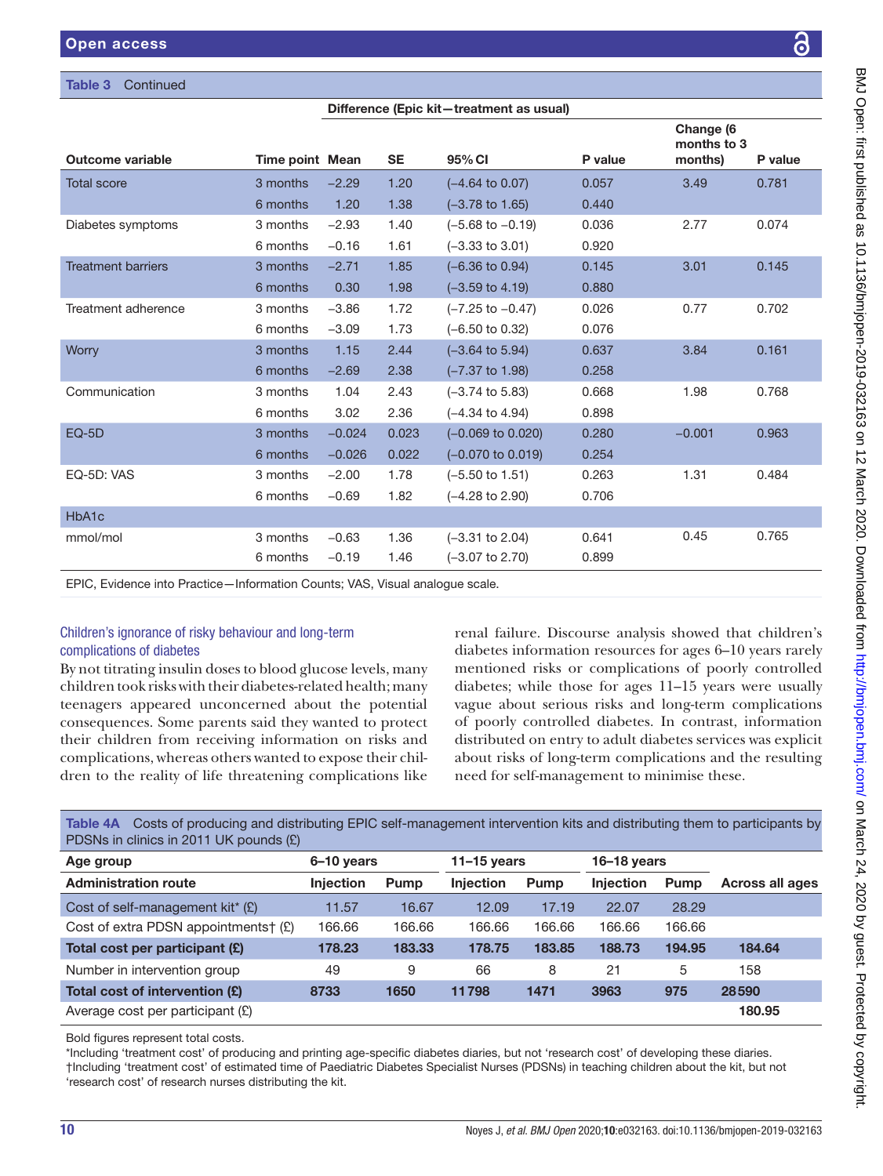## Table 3

HbA1c

| <b>Open access</b>        |                        |                      |                |                                                              |                |                                     | <u>ය</u> |
|---------------------------|------------------------|----------------------|----------------|--------------------------------------------------------------|----------------|-------------------------------------|----------|
| Table 3<br>Continued      |                        |                      |                |                                                              |                |                                     |          |
|                           |                        |                      |                | Difference (Epic kit-treatment as usual)                     |                |                                     |          |
| Outcome variable          | <b>Time point Mean</b> |                      | <b>SE</b>      | 95% CI                                                       | P value        | Change (6<br>months to 3<br>months) | P value  |
| <b>Total score</b>        | 3 months<br>6 months   | $-2.29$<br>1.20      | 1.20<br>1.38   | $(-4.64 \text{ to } 0.07)$<br>$(-3.78 \text{ to } 1.65)$     | 0.057<br>0.440 | 3.49                                | 0.781    |
| Diabetes symptoms         | 3 months<br>6 months   | $-2.93$<br>$-0.16$   | 1.40<br>1.61   | $(-5.68 \text{ to } -0.19)$<br>$(-3.33 \text{ to } 3.01)$    | 0.036<br>0.920 | 2.77                                | 0.074    |
| <b>Treatment barriers</b> | 3 months<br>6 months   | $-2.71$<br>0.30      | 1.85<br>1.98   | $(-6.36 \text{ to } 0.94)$<br>$(-3.59 \text{ to } 4.19)$     | 0.145<br>0.880 | 3.01                                | 0.145    |
| Treatment adherence       | 3 months<br>6 months   | $-3.86$<br>$-3.09$   | 1.72<br>1.73   | $(-7.25 \text{ to } -0.47)$<br>$(-6.50 \text{ to } 0.32)$    | 0.026<br>0.076 | 0.77                                | 0.702    |
| Worry                     | 3 months<br>6 months   | 1.15<br>$-2.69$      | 2.44<br>2.38   | $(-3.64 \text{ to } 5.94)$<br>$(-7.37 \text{ to } 1.98)$     | 0.637<br>0.258 | 3.84                                | 0.161    |
| Communication             | 3 months<br>6 months   | 1.04<br>3.02         | 2.43<br>2.36   | $(-3.74 \text{ to } 5.83)$<br>$(-4.34 \text{ to } 4.94)$     | 0.668<br>0.898 | 1.98                                | 0.768    |
| EQ-5D                     | 3 months<br>6 months   | $-0.024$<br>$-0.026$ | 0.023<br>0.022 | $(-0.069 \text{ to } 0.020)$<br>$(-0.070 \text{ to } 0.019)$ | 0.280<br>0.254 | $-0.001$                            | 0.963    |

EQ-5D: VAS 3 months −2.00 1.78 (−5.50 to 1.51) 0.263 1.31 0.484 6 months −0.69 1.82 (−4.28 to 2.90) 0.706

mmol/mol 3 months −0.63 1.36 (−3.31 to 2.04) 0.641 0.45 0.765 6 months −0.19 1.46 (−3.07 to 2.70) 0.899

EPIC, Evidence into Practice—Information Counts; VAS, Visual analogue scale.

## Children's ignorance of risky behaviour and long-term complications of diabetes

By not titrating insulin doses to blood glucose levels, many children took risks with their diabetes-related health; many teenagers appeared unconcerned about the potential consequences. Some parents said they wanted to protect their children from receiving information on risks and complications, whereas others wanted to expose their children to the reality of life threatening complications like

renal failure. Discourse analysis showed that children's diabetes information resources for ages 6–10 years rarely mentioned risks or complications of poorly controlled diabetes; while those for ages 11–15 years were usually vague about serious risks and long-term complications of poorly controlled diabetes. In contrast, information distributed on entry to adult diabetes services was explicit about risks of long-term complications and the resulting need for self-management to minimise these.

<span id="page-9-0"></span>Table 4A Costs of producing and distributing EPIC self-management intervention kits and distributing them to participants by PDSNs in clinics in 2011 UK pounds (£)

| Age group                                      | 6-10 years       |             | $11 - 15$ years  |             | $16 - 18$ years  |             |                 |
|------------------------------------------------|------------------|-------------|------------------|-------------|------------------|-------------|-----------------|
| <b>Administration route</b>                    | <b>Injection</b> | <b>Pump</b> | <b>Injection</b> | <b>Pump</b> | <b>Injection</b> | <b>Pump</b> | Across all ages |
| Cost of self-management kit <sup>*</sup> $(E)$ | 11.57            | 16.67       | 12.09            | 17.19       | 22.07            | 28.29       |                 |
| Cost of extra PDSN appointments $f(E)$         | 166.66           | 166.66      | 166.66           | 166.66      | 166.66           | 166.66      |                 |
| Total cost per participant (£)                 | 178.23           | 183.33      | 178.75           | 183.85      | 188.73           | 194.95      | 184.64          |
| Number in intervention group                   | 49               | 9           | 66               | 8           | 21               | 5           | 158             |
| Total cost of intervention (£)                 | 8733             | 1650        | 11798            | 1471        | 3963             | 975         | 28590           |
| Average cost per participant $(E)$             |                  |             |                  |             |                  |             | 180.95          |

Bold figures represent total costs.

\*Including 'treatment cost' of producing and printing age-specific diabetes diaries, but not 'research cost' of developing these diaries. †Including 'treatment cost' of estimated time of Paediatric Diabetes Specialist Nurses (PDSNs) in teaching children about the kit, but not 'research cost' of research nurses distributing the kit.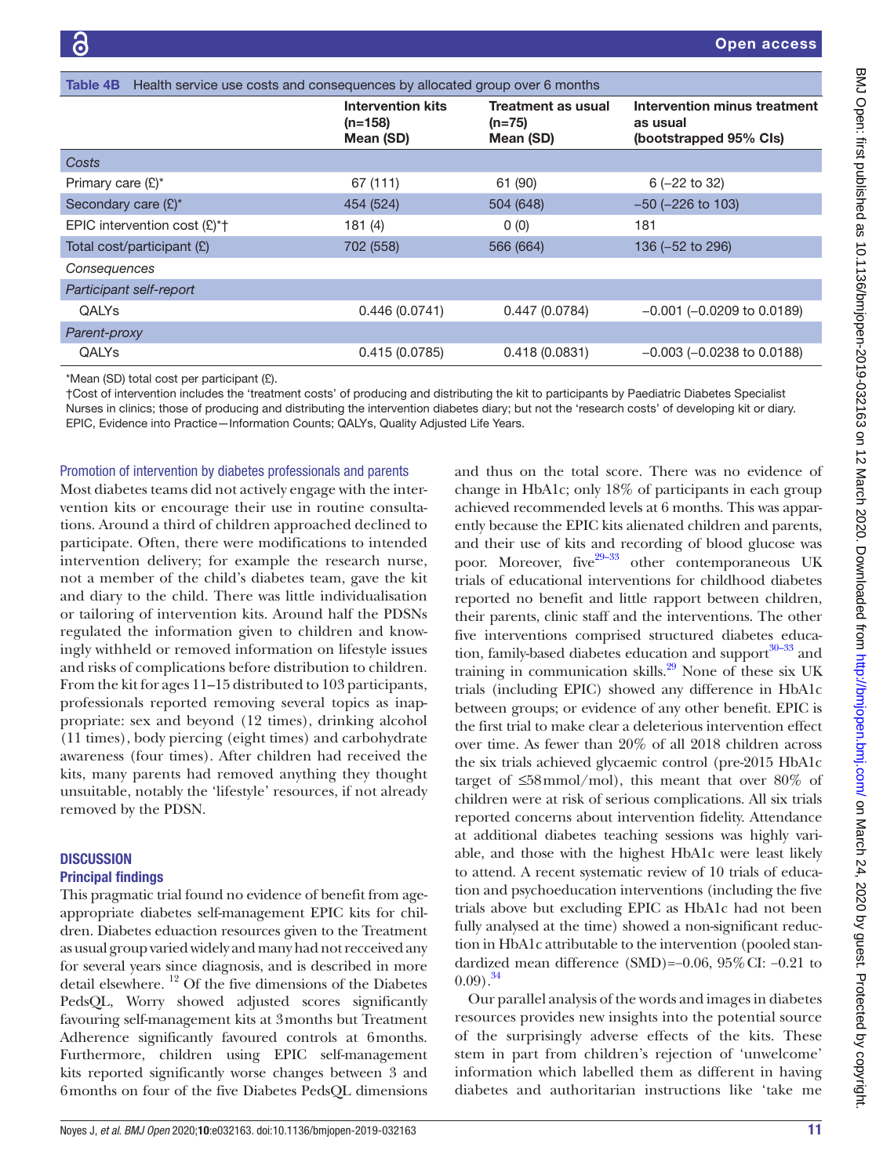<span id="page-10-0"></span>

| Health service use costs and consequences by allocated group over 6 months<br>Table 4B |                                                    |                                                    |                                                                    |  |  |  |  |  |
|----------------------------------------------------------------------------------------|----------------------------------------------------|----------------------------------------------------|--------------------------------------------------------------------|--|--|--|--|--|
|                                                                                        | <b>Intervention kits</b><br>$(n=158)$<br>Mean (SD) | <b>Treatment as usual</b><br>$(n=75)$<br>Mean (SD) | Intervention minus treatment<br>as usual<br>(bootstrapped 95% Cls) |  |  |  |  |  |
| Costs                                                                                  |                                                    |                                                    |                                                                    |  |  |  |  |  |
| Primary care $(E)^*$                                                                   | 67 (111)                                           | 61 (90)                                            | $6(-22$ to 32)                                                     |  |  |  |  |  |
| Secondary care (£)*                                                                    | 454 (524)                                          | 504 (648)                                          | $-50$ ( $-226$ to 103)                                             |  |  |  |  |  |
| EPIC intervention cost $(E)^*$ <sup>+</sup>                                            | 181(4)                                             | 0(0)                                               | 181                                                                |  |  |  |  |  |
| Total cost/participant (£)                                                             | 702 (558)                                          | 566 (664)                                          | 136 (-52 to 296)                                                   |  |  |  |  |  |
| Consequences                                                                           |                                                    |                                                    |                                                                    |  |  |  |  |  |
| Participant self-report                                                                |                                                    |                                                    |                                                                    |  |  |  |  |  |
| <b>QALYs</b>                                                                           | 0.446(0.0741)                                      | 0.447(0.0784)                                      | $-0.001$ ( $-0.0209$ to 0.0189)                                    |  |  |  |  |  |
| Parent-proxy                                                                           |                                                    |                                                    |                                                                    |  |  |  |  |  |
| <b>OALYs</b>                                                                           | 0.415(0.0785)                                      | 0.418(0.0831)                                      | $-0.003$ ( $-0.0238$ to 0.0188)                                    |  |  |  |  |  |
|                                                                                        |                                                    |                                                    |                                                                    |  |  |  |  |  |

\*Mean (SD) total cost per participant (£).

†Cost of intervention includes the 'treatment costs' of producing and distributing the kit to participants by Paediatric Diabetes Specialist Nurses in clinics; those of producing and distributing the intervention diabetes diary; but not the 'research costs' of developing kit or diary. EPIC, Evidence into Practice—Information Counts; QALYs, Quality Adjusted Life Years.

#### Promotion of intervention by diabetes professionals and parents

Most diabetes teams did not actively engage with the intervention kits or encourage their use in routine consultations. Around a third of children approached declined to participate. Often, there were modifications to intended intervention delivery; for example the research nurse, not a member of the child's diabetes team, gave the kit and diary to the child. There was little individualisation or tailoring of intervention kits. Around half the PDSNs regulated the information given to children and knowingly withheld or removed information on lifestyle issues and risks of complications before distribution to children. From the kit for ages 11–15 distributed to 103 participants, professionals reported removing several topics as inappropriate: sex and beyond (12 times), drinking alcohol (11 times), body piercing (eight times) and carbohydrate awareness (four times). After children had received the kits, many parents had removed anything they thought unsuitable, notably the 'lifestyle' resources, if not already removed by the PDSN.

# **DISCUSSION**

# Principal findings

This pragmatic trial found no evidence of benefit from ageappropriate diabetes self-management EPIC kits for children. Diabetes eduaction resources given to the Treatment as usual group varied widely and many had not recceived any for several years since diagnosis, and is described in more detail elsewhere. 12 Of the five dimensions of the Diabetes PedsQL, Worry showed adjusted scores significantly favouring self-management kits at 3months but Treatment Adherence significantly favoured controls at 6months. Furthermore, children using EPIC self-management kits reported significantly worse changes between 3 and 6months on four of the five Diabetes PedsQL dimensions

and thus on the total score. There was no evidence of change in HbA1c; only 18% of participants in each group achieved recommended levels at 6 months. This was apparently because the EPIC kits alienated children and parents, and their use of kits and recording of blood glucose was poor. Moreover, five<sup>29–33</sup> other contemporaneous UK trials of educational interventions for childhood diabetes reported no benefit and little rapport between children, their parents, clinic staff and the interventions. The other five interventions comprised structured diabetes education, family-based diabetes education and support $30-33$  and training in communication skills.<sup>[29](#page-12-22)</sup> None of these six UK trials (including EPIC) showed any difference in HbA1c between groups; or evidence of any other benefit. EPIC is the first trial to make clear a deleterious intervention effect over time. As fewer than 20% of all 2018 children across the six trials achieved glycaemic control (pre-2015 HbA1c target of  $\leq$ 58mmol/mol), this meant that over 80% of children were at risk of serious complications. All six trials reported concerns about intervention fidelity. Attendance at additional diabetes teaching sessions was highly variable, and those with the highest HbA1c were least likely to attend. A recent systematic review of 10 trials of education and psychoeducation interventions (including the five trials above but excluding EPIC as HbA1c had not been fully analysed at the time) showed a non-significant reduction in HbA1c attributable to the intervention (pooled standardized mean difference (SMD)=−0.06, 95%CI: −0.21 to  $(0.09)$ .<sup>34</sup>

Our parallel analysis of the words and images in diabetes resources provides new insights into the potential source of the surprisingly adverse effects of the kits. These stem in part from children's rejection of 'unwelcome' information which labelled them as different in having diabetes and authoritarian instructions like 'take me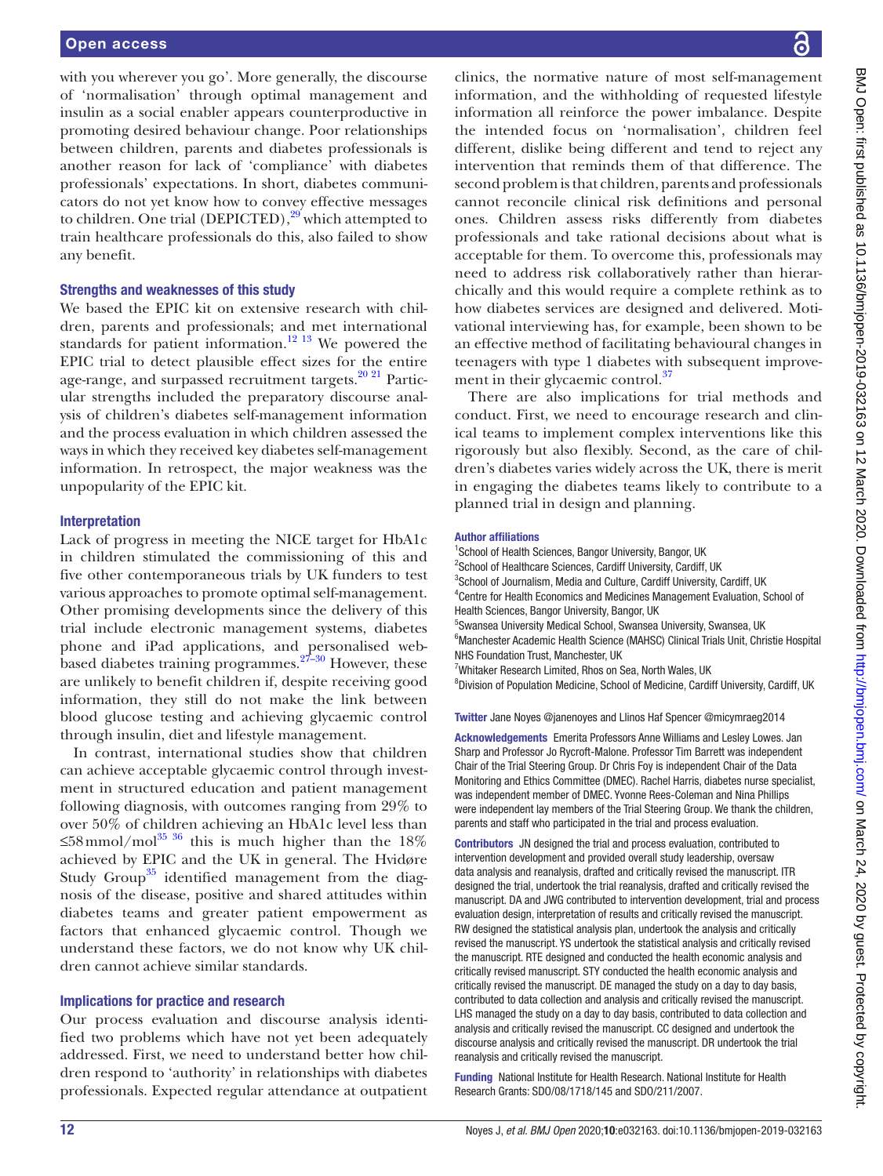with you wherever you go'. More generally, the discourse of 'normalisation' through optimal management and insulin as a social enabler appears counterproductive in promoting desired behaviour change. Poor relationships between children, parents and diabetes professionals is another reason for lack of 'compliance' with diabetes professionals' expectations. In short, diabetes communicators do not yet know how to convey effective messages to children. One trial (DEPICTED), $29$  which attempted to train healthcare professionals do this, also failed to show any benefit.

## Strengths and weaknesses of this study

We based the EPIC kit on extensive research with children, parents and professionals; and met international standards for patient information.<sup>[12 13](#page-12-7)</sup> We powered the EPIC trial to detect plausible effect sizes for the entire age-range, and surpassed recruitment targets.<sup>[20 21](#page-12-15)</sup> Particular strengths included the preparatory discourse analysis of children's diabetes self-management information and the process evaluation in which children assessed the ways in which they received key diabetes self-management information. In retrospect, the major weakness was the unpopularity of the EPIC kit.

#### Interpretation

Lack of progress in meeting the NICE target for HbA1c in children stimulated the commissioning of this and five other contemporaneous trials by UK funders to test various approaches to promote optimal self-management. Other promising developments since the delivery of this trial include electronic management systems, diabetes phone and iPad applications, and personalised webbased diabetes training programmes.  $27-30$  However, these are unlikely to benefit children if, despite receiving good information, they still do not make the link between blood glucose testing and achieving glycaemic control through insulin, diet and lifestyle management.

In contrast, international studies show that children can achieve acceptable glycaemic control through investment in structured education and patient management following diagnosis, with outcomes ranging from 29% to over 50% of children achieving an HbA1c level less than ≤58mmol/mol<sup>[35 36](#page-12-25)</sup> this is much higher than the 18% achieved by EPIC and the UK in general. The Hvidøre Study Group<sup>35</sup> identified management from the diagnosis of the disease, positive and shared attitudes within diabetes teams and greater patient empowerment as factors that enhanced glycaemic control. Though we understand these factors, we do not know why UK children cannot achieve similar standards.

## Implications for practice and research

Our process evaluation and discourse analysis identified two problems which have not yet been adequately addressed. First, we need to understand better how children respond to 'authority' in relationships with diabetes professionals. Expected regular attendance at outpatient

clinics, the normative nature of most self-management information, and the withholding of requested lifestyle information all reinforce the power imbalance. Despite the intended focus on 'normalisation', children feel different, dislike being different and tend to reject any intervention that reminds them of that difference. The second problem is that children, parents and professionals cannot reconcile clinical risk definitions and personal ones. Children assess risks differently from diabetes professionals and take rational decisions about what is acceptable for them. To overcome this, professionals may need to address risk collaboratively rather than hierarchically and this would require a complete rethink as to how diabetes services are designed and delivered. Motivational interviewing has, for example, been shown to be an effective method of facilitating behavioural changes in teenagers with type 1 diabetes with subsequent improve-ment in their glycaemic control.<sup>[37](#page-12-26)</sup>

There are also implications for trial methods and conduct. First, we need to encourage research and clinical teams to implement complex interventions like this rigorously but also flexibly. Second, as the care of children's diabetes varies widely across the UK, there is merit in engaging the diabetes teams likely to contribute to a planned trial in design and planning.

#### Author affiliations

<sup>1</sup>School of Health Sciences, Bangor University, Bangor, UK <sup>2</sup>School of Healthcare Sciences, Cardiff University, Cardiff, UK <sup>3</sup>School of Journalism, Media and Culture, Cardiff University, Cardiff, UK 4 Centre for Health Economics and Medicines Management Evaluation, School of Health Sciences, Bangor University, Bangor, UK 5 Swansea University Medical School, Swansea University, Swansea, UK <sup>6</sup>Manchester Academic Health Science (MAHSC) Clinical Trials Unit, Christie Hospital NHS Foundation Trust, Manchester, UK <sup>7</sup>Whitaker Research Limited, Rhos on Sea, North Wales, UK <sup>8</sup>Division of Population Medicine, School of Medicine, Cardiff University, Cardiff, UK

Twitter Jane Noyes [@janenoyes](https://twitter.com/janenoyes) and Llinos Haf Spencer [@micymraeg2014](https://twitter.com/micymraeg2014)

Acknowledgements Emerita Professors Anne Williams and Lesley Lowes. Jan Sharp and Professor Jo Rycroft-Malone. Professor Tim Barrett was independent Chair of the Trial Steering Group. Dr Chris Foy is independent Chair of the Data Monitoring and Ethics Committee (DMEC). Rachel Harris, diabetes nurse specialist, was independent member of DMEC. Yvonne Rees-Coleman and Nina Phillips were independent lay members of the Trial Steering Group. We thank the children, parents and staff who participated in the trial and process evaluation.

Contributors JN designed the trial and process evaluation, contributed to intervention development and provided overall study leadership, oversaw data analysis and reanalysis, drafted and critically revised the manuscript. ITR designed the trial, undertook the trial reanalysis, drafted and critically revised the manuscript. DA and JWG contributed to intervention development, trial and process evaluation design, interpretation of results and critically revised the manuscript. RW designed the statistical analysis plan, undertook the analysis and critically revised the manuscript. YS undertook the statistical analysis and critically revised the manuscript. RTE designed and conducted the health economic analysis and critically revised manuscript. STY conducted the health economic analysis and critically revised the manuscript. DE managed the study on a day to day basis, contributed to data collection and analysis and critically revised the manuscript. LHS managed the study on a day to day basis, contributed to data collection and analysis and critically revised the manuscript. CC designed and undertook the discourse analysis and critically revised the manuscript. DR undertook the trial reanalysis and critically revised the manuscript.

Funding National Institute for Health Research. National Institute for Health Research Grants: SDO/08/1718/145 and SDO/211/2007.